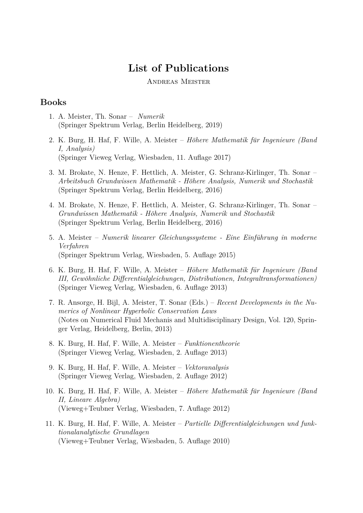# **List of Publications**

#### Andreas Meister

#### **Books**

- 1. A. Meister, Th. Sonar *Numerik* (Springer Spektrum Verlag, Berlin Heidelberg, 2019)
- 2. K. Burg, H. Haf, F. Wille, A. Meister *Höhere Mathematik für Ingenieure (Band I, Analysis)* (Springer Vieweg Verlag, Wiesbaden, 11. Auflage 2017)
- 3. M. Brokate, N. Henze, F. Hettlich, A. Meister, G. Schranz-Kirlinger, Th. Sonar *Arbeitsbuch Grundwissen Mathematik - H¨ohere Analysis, Numerik und Stochastik* (Springer Spektrum Verlag, Berlin Heidelberg, 2016)
- 4. M. Brokate, N. Henze, F. Hettlich, A. Meister, G. Schranz-Kirlinger, Th. Sonar *Grundwissen Mathematik - H¨ohere Analysis, Numerik und Stochastik* (Springer Spektrum Verlag, Berlin Heidelberg, 2016)
- 5. A. Meister *Numerik linearer Gleichungssysteme Eine Einführung in moderne Verfahren* (Springer Spektrum Verlag, Wiesbaden, 5. Auflage 2015)
- 6. K. Burg, H. Haf, F. Wille, A. Meister *H¨ohere Mathematik fur Ingenieure (Band ¨ III, Gewöhnliche Differentialgleichungen, Distributionen, Integraltransformationen*) (Springer Vieweg Verlag, Wiesbaden, 6. Auflage 2013)
- 7. R. Ansorge, H. Bijl, A. Meister, T. Sonar (Eds.) *Recent Developments in the Numerics of Nonlinear Hyperbolic Conservation Laws* (Notes on Numerical Fluid Mechanis and Multidisciplinary Design, Vol. 120, Springer Verlag, Heidelberg, Berlin, 2013)
- 8. K. Burg, H. Haf, F. Wille, A. Meister *Funktionentheorie* (Springer Vieweg Verlag, Wiesbaden, 2. Auflage 2013)
- 9. K. Burg, H. Haf, F. Wille, A. Meister *Vektoranalysis* (Springer Vieweg Verlag, Wiesbaden, 2. Auflage 2012)
- 10. K. Burg, H. Haf, F. Wille, A. Meister *H¨ohere Mathematik fur Ingenieure (Band ¨ II, Lineare Algebra)* (Vieweg+Teubner Verlag, Wiesbaden, 7. Auflage 2012)
- 11. K. Burg, H. Haf, F. Wille, A. Meister *Partielle Differentialgleichungen und funktionalanalytische Grundlagen* (Vieweg+Teubner Verlag, Wiesbaden, 5. Auflage 2010)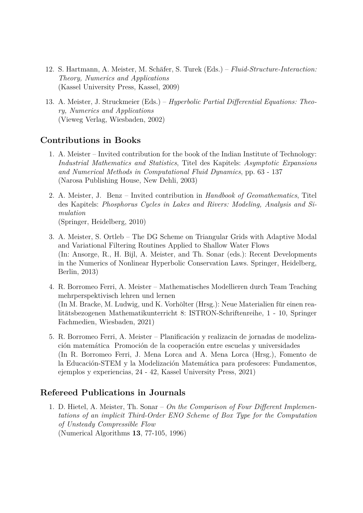- 12. S. Hartmann, A. Meister, M. Schäfer, S. Turek (Eds.) *Fluid-Structure-Interaction*: *Theory, Numerics and Applications* (Kassel University Press, Kassel, 2009)
- 13. A. Meister, J. Struckmeier (Eds.) *Hyperbolic Partial Differential Equations: Theory, Numerics and Applications* (Vieweg Verlag, Wiesbaden, 2002)

### **Contributions in Books**

- 1. A. Meister Invited contribution for the book of the Indian Institute of Technology: *Industrial Mathematics and Statistics*, Titel des Kapitels: *Asymptotic Expansions and Numerical Methods in Computational Fluid Dynamics*, pp. 63 - 137 (Narosa Publishing House, New Dehli, 2003)
- 2. A. Meister, J. Benz Invited contribution in *Handbook of Geomathematics*, Titel des Kapitels: *Phosphorus Cycles in Lakes and Rivers: Modeling, Analysis and Simulation* (Springer, Heidelberg, 2010)
- 3. A. Meister, S. Ortleb The DG Scheme on Triangular Grids with Adaptive Modal and Variational Filtering Routines Applied to Shallow Water Flows (In: Ansorge, R., H. Bijl, A. Meister, and Th. Sonar (eds.): Recent Developments in the Numerics of Nonlinear Hyperbolic Conservation Laws. Springer, Heidelberg, Berlin, 2013)
- 4. R. Borromeo Ferri, A. Meister Mathematisches Modellieren durch Team Teaching mehrperspektivisch lehren und lernen (In M. Bracke, M. Ludwig, und K. Vorhölter (Hrsg.): Neue Materialien für einen realitätsbezogenen Mathematikunterricht 8: ISTRON-Schriftenreihe, 1 - 10, Springer Fachmedien, Wiesbaden, 2021)
- 5. R. Borromeo Ferri, A. Meister Planificación y realizacin de jornadas de modelización matemática Promoción de la cooperación entre escuelas y universidades (In R. Borromeo Ferri, J. Mena Lorca and A. Mena Lorca (Hrsg.), Fomento de la Educación-STEM y la Modelización Matemática para profesores: Fundamentos, ejemplos y experiencias, 24 - 42, Kassel University Press, 2021)

### **Refereed Publications in Journals**

1. D. Hietel, A. Meister, Th. Sonar – *On the Comparison of Four Different Implementations of an implicit Third-Order ENO Scheme of Box Type for the Computation of Unsteady Compressible Flow* (Numerical Algorithms **13**, 77-105, 1996)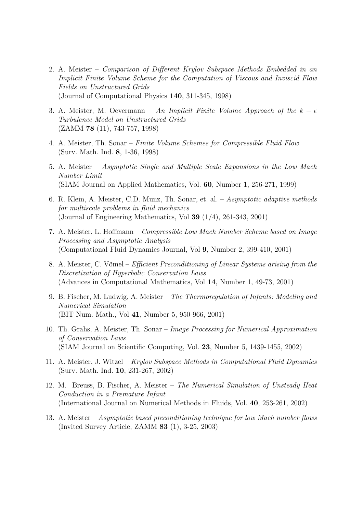- 2. A. Meister *Comparison of Different Krylov Subspace Methods Embedded in an Implicit Finite Volume Scheme for the Computation of Viscous and Inviscid Flow Fields on Unstructured Grids* (Journal of Computational Physics **140**, 311-345, 1998)
- 3. A. Meister, M. Oevermann An Implicit Finite Volume Approach of the  $k \epsilon$ *Turbulence Model on Unstructured Grids* (ZAMM **78** (11), 743-757, 1998)
- 4. A. Meister, Th. Sonar *Finite Volume Schemes for Compressible Fluid Flow* (Surv. Math. Ind. **8**, 1-36, 1998)
- 5. A. Meister *Asymptotic Single and Multiple Scale Expansions in the Low Mach Number Limit* (SIAM Journal on Applied Mathematics, Vol. **60**, Number 1, 256-271, 1999)
- 6. R. Klein, A. Meister, C.D. Munz, Th. Sonar, et. al. *Asymptotic adaptive methods for multiscale problems in fluid mechanics* (Journal of Engineering Mathematics, Vol **39** (1/4), 261-343, 2001)
- 7. A. Meister, L. Hoffmann *Compressible Low Mach Number Scheme based on Image Processing and Asymptotic Analysis* (Computational Fluid Dynamics Journal, Vol **9**, Number 2, 399-410, 2001)
- 8. A. Meister, C. Vömel *Efficient Preconditioning of Linear Systems arising from the Discretization of Hyperbolic Conservation Laws* (Advances in Computational Mathematics, Vol **14**, Number 1, 49-73, 2001)
- 9. B. Fischer, M. Ludwig, A. Meister *The Thermoregulation of Infants: Modeling and Numerical Simulation* (BIT Num. Math., Vol **41**, Number 5, 950-966, 2001)
- 10. Th. Grahs, A. Meister, Th. Sonar *Image Processing for Numerical Approximation of Conservation Laws* (SIAM Journal on Scientific Computing, Vol. **23**, Number 5, 1439-1455, 2002)
- 11. A. Meister, J. Witzel *Krylov Subspace Methods in Computational Fluid Dynamics* (Surv. Math. Ind. **10**, 231-267, 2002)
- 12. M. Breuss, B. Fischer, A. Meister *The Numerical Simulation of Unsteady Heat Conduction in a Premature Infant* (International Journal on Numerical Methods in Fluids, Vol. **40**, 253-261, 2002)
- 13. A. Meister *Asymptotic based preconditioning technique for low Mach number flows* (Invited Survey Article, ZAMM **83** (1), 3-25, 2003)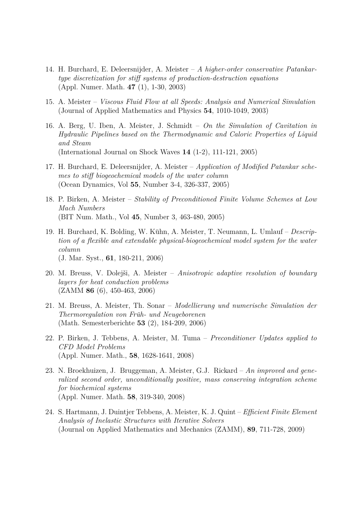- 14. H. Burchard, E. Deleersnijder, A. Meister *A higher-order conservative Patankartype discretization for stiff systems of production-destruction equations* (Appl. Numer. Math. **47** (1), 1-30, 2003)
- 15. A. Meister *Viscous Fluid Flow at all Speeds: Analysis and Numerical Simulation* (Journal of Applied Mathematics and Physics **54**, 1010-1049, 2003)
- 16. A. Berg, U. Iben, A. Meister, J. Schmidt *On the Simulation of Cavitation in Hydraulic Pipelines based on the Thermodynamic and Caloric Properties of Liquid and Steam* (International Journal on Shock Waves **14** (1-2), 111-121, 2005)
- 17. H. Burchard, E. Deleersnijder, A. Meister *Application of Modified Patankar schemes to stiff biogeochemical models of the water column* (Ocean Dynamics, Vol **55**, Number 3-4, 326-337, 2005)
- 18. P. Birken, A. Meister *Stability of Preconditioned Finite Volume Schemes at Low Mach Numbers* (BIT Num. Math., Vol **45**, Number 3, 463-480, 2005)
- 19. H. Burchard, K. Bolding, W. Kühn, A. Meister, T. Neumann, L. Umlauf *Description of a flexible and extendable physical-biogeochemical model system for the water column* (J. Mar. Syst., **61**, 180-211, 2006)
- 20. M. Breuss, V. Dolejši, A. Meister *Anisotropic adaptive resolution of boundary layers for heat conduction problems* (ZAMM **86** (6), 450-463, 2006)
- 21. M. Breuss, A. Meister, Th. Sonar *Modellierung und numerische Simulation der Thermoregulation von Fruh- und Neugeborenen ¨* (Math. Semesterberichte **53** (2), 184-209, 2006)
- 22. P. Birken, J. Tebbens, A. Meister, M. Tuma *Preconditioner Updates applied to CFD Model Problems* (Appl. Numer. Math., **58**, 1628-1641, 2008)
- 23. N. Broekhuizen, J. Bruggeman, A. Meister, G.J. Rickard *An improved and generalized second order, unconditionally positive, mass conserving integration scheme for biochemical systems* (Appl. Numer. Math. **58**, 319-340, 2008)
- 24. S. Hartmann, J. Duintjer Tebbens, A. Meister, K. J. Quint *Efficient Finite Element Analysis of Inelastic Structures with Iterative Solvers* (Journal on Applied Mathematics and Mechanics (ZAMM), **89**, 711-728, 2009)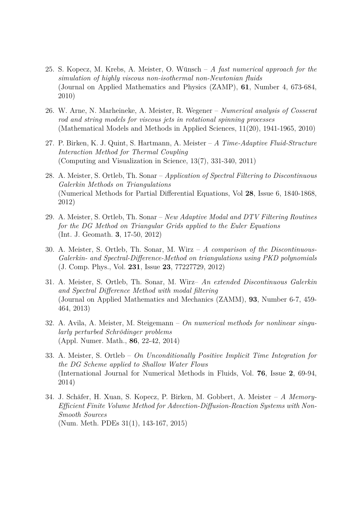- 25. S. Kopecz, M. Krebs, A. Meister, O. Wünsch A fast numerical approach for the *simulation of highly viscous non-isothermal non-Newtonian fluids* (Journal on Applied Mathematics and Physics (ZAMP), **61**, Number 4, 673-684, 2010)
- 26. W. Arne, N. Marheineke, A. Meister, R. Wegener *Numerical analysis of Cosserat rod and string models for viscous jets in rotational spinning processes* (Mathematical Models and Methods in Applied Sciences, 11(20), 1941-1965, 2010)
- 27. P. Birken, K. J. Quint, S. Hartmann, A. Meister *A Time-Adaptive Fluid-Structure Interaction Method for Thermal Coupling* (Computing and Visualization in Science, 13(7), 331-340, 2011)
- 28. A. Meister, S. Ortleb, Th. Sonar *Application of Spectral Filtering to Discontinuous Galerkin Methods on Triangulations* (Numerical Methods for Partial Differential Equations, Vol **28**, Issue 6, 1840-1868, 2012)
- 29. A. Meister, S. Ortleb, Th. Sonar *New Adaptive Modal and DTV Filtering Routines for the DG Method on Triangular Grids applied to the Euler Equations* (Int. J. Geomath. **3**, 17-50, 2012)
- 30. A. Meister, S. Ortleb, Th. Sonar, M. Wirz *A comparison of the Discontinuous-Galerkin- and Spectral-Difference-Method on triangulations using PKD polynomials* (J. Comp. Phys., Vol. **231**, Issue **23**, 77227729, 2012)
- 31. A. Meister, S. Ortleb, Th. Sonar, M. Wirz– *An extended Discontinuous Galerkin and Spectral Difference Method with modal filtering* (Journal on Applied Mathematics and Mechanics (ZAMM), **93**, Number 6-7, 459- 464, 2013)
- 32. A. Avila, A. Meister, M. Steigemann *On numerical methods for nonlinear singularly perturbed Schr¨odinger problems* (Appl. Numer. Math., **86**, 22-42, 2014)
- 33. A. Meister, S. Ortleb *On Unconditionally Positive Implicit Time Integration for the DG Scheme applied to Shallow Water Flows* (International Journal for Numerical Methods in Fluids, Vol. **76**, Issue **2**, 69-94, 2014)
- 34. J. Schäfer, H. Xuan, S. Kopecz, P. Birken, M. Gobbert, A. Meister A Memory-*Efficient Finite Volume Method for Advection-Diffusion-Reaction Systems with Non-Smooth Sources* (Num. Meth. PDEs 31(1), 143-167, 2015)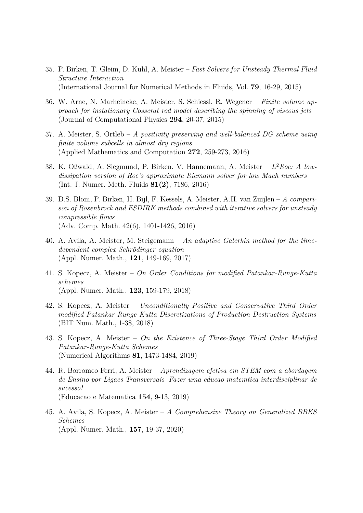- 35. P. Birken, T. Gleim, D. Kuhl, A. Meister *Fast Solvers for Unsteady Thermal Fluid Structure Interaction* (International Journal for Numerical Methods in Fluids, Vol. **79**, 16-29, 2015)
- 36. W. Arne, N. Marheineke, A. Meister, S. Schiessl, R. Wegener *Finite volume approach for instationary Cosserat rod model describing the spinning of viscous jets* (Journal of Computational Physics **294**, 20-37, 2015)
- 37. A. Meister, S. Ortleb *A positivity preserving and well-balanced DG scheme using finite volume subcells in almost dry regions* (Applied Mathematics and Computation **272**, 259-273, 2016)
- 38. K. Oßwald, A. Siegmund, P. Birken, V. Hannemann, A. Meister L <sup>2</sup>*Roe: A lowdissipation version of Roe's approximate Riemann solver for low Mach numbers* (Int. J. Numer. Meth. Fluids **81(2)**, 7186, 2016)
- 39. D.S. Blom, P. Birken, H. Bijl, F. Kessels, A. Meister, A.H. van Zuijlen *A comparison of Rosenbrock and ESDIRK methods combined with iterative solvers for unsteady compressible flows* (Adv. Comp. Math. 42(6), 1401-1426, 2016)
- 40. A. Avila, A. Meister, M. Steigemann *An adaptive Galerkin method for the timedependent complex Schrödinger equation* (Appl. Numer. Math., **121**, 149-169, 2017)
- 41. S. Kopecz, A. Meister *On Order Conditions for modified Patankar-Runge-Kutta schemes* (Appl. Numer. Math., **123**, 159-179, 2018)
- 42. S. Kopecz, A. Meister *Unconditionally Positive and Conservative Third Order modified Patankar-Runge-Kutta Discretizations of Production-Destruction Systems* (BIT Num. Math., 1-38, 2018)
- 43. S. Kopecz, A. Meister *On the Existence of Three-Stage Third Order Modified Patankar-Runge-Kutta Schemes* (Numerical Algorithms **81**, 1473-1484, 2019)
- 44. R. Borromeo Ferri, A. Meister *Aprendizagem efetiva em STEM com a abordagem de Ensino por Ligaes Transversais Fazer uma educao matemtica interdisciplinar de sucesso!* (Educacao e Matematica **154**, 9-13, 2019)
- 45. A. Avila, S. Kopecz, A. Meister *A Comprehensive Theory on Generalized BBKS Schemes* (Appl. Numer. Math., **157**, 19-37, 2020)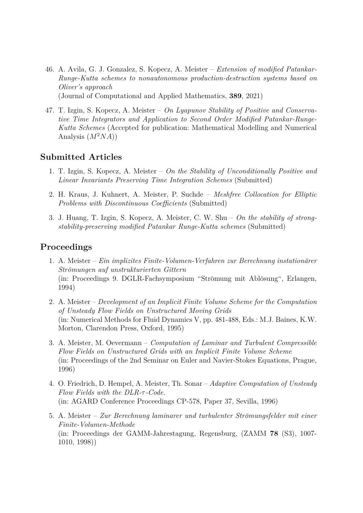- 46. A. Avila, G. J. Gonzalez, S. Kopecz, A. Meister *Extension of modified Patankar-Runge-Kutta schemes to nonautonomous production-destruction systems based on Oliver's approach* (Journal of Computational and Applied Mathematics, **389**, 2021)
- 47. T. Izgin, S. Kopecz, A. Meister *On Lyapunov Stability of Positive and Conservative Time Integrators and Application to Second Order Modified Patankar-Runge-Kutta Schemes* (Accepted for publication: Mathematical Modelling and Numerical Analysis  $(M^2NA)$

#### **Submitted Articles**

- 1. T. Izgin, S. Kopecz, A. Meister *On the Stability of Unconditionally Positive and Linear Invariants Preserving Time Integration Schemes* (Submitted)
- 2. H. Kraus, J. Kuhnert, A. Meister, P. Suchde *Meshfree Collocation for Elliptic Problems with Discontinuous Coefficients* (Submitted)
- 3. J. Huang, T. Izgin, S. Kopecz, A. Meister, C. W. Shu *On the stability of strongstability-preserving modified Patankar Runge-Kutta schemes* (Submitted)

#### **Proceedings**

- 1. A. Meister *Ein implizites Finite-Volumen-Verfahren zur Berechnung instationärer Str¨omungen auf unstrukturierten Gittern* (in: Proceedings 9. DGLR-Fachsymposium "Strömung mit Ablösung", Erlangen, 1994)
- 2. A. Meister *Development of an Implicit Finite Volume Scheme for the Computation of Unsteady Flow Fields on Unstructured Moving Grids* (in: Numerical Methods for Fluid Dynamics V, pp. 481-488, Eds.: M.J. Baines, K.W. Morton, Clarendon Press, Oxford, 1995)
- 3. A. Meister, M. Oevermann *Computation of Laminar and Turbulent Compressible Flow Fields on Unstructured Grids with an Implicit Finite Volume Scheme* (in: Proceedings of the 2nd Seminar on Euler and Navier-Stokes Equations, Prague, 1996)
- 4. O. Friedrich, D. Hempel, A. Meister, Th. Sonar *Adaptive Computation of Unsteady Flow Fields with the DLR-*τ *-Code.* (in: AGARD Conference Proceedings CP-578, Paper 37, Sevilla, 1996)
- 5. A. Meister Zur Berechnung laminarer und turbulenter Strömungsfelder mit einer *Finite-Volumen-Methode* (in: Proceedings der GAMM-Jahrestagung, Regensburg, (ZAMM **78** (S3), 1007- 1010, 1998))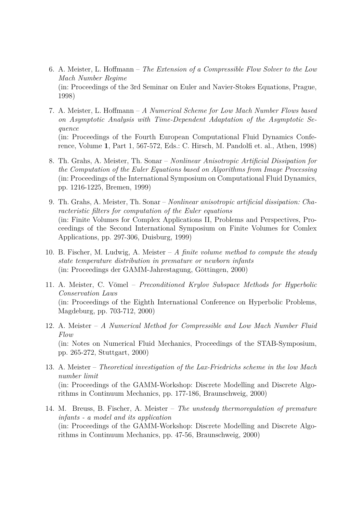- 6. A. Meister, L. Hoffmann *The Extension of a Compressible Flow Solver to the Low Mach Number Regime* (in: Proceedings of the 3rd Seminar on Euler and Navier-Stokes Equations, Prague, 1998)
- 7. A. Meister, L. Hoffmann *A Numerical Scheme for Low Mach Number Flows based on Asymptotic Analysis with Time-Dependent Adaptation of the Asymptotic Sequence* (in: Proceedings of the Fourth European Computational Fluid Dynamics Conference, Volume **1**, Part 1, 567-572, Eds.: C. Hirsch, M. Pandolfi et. al., Athen, 1998)
- 8. Th. Grahs, A. Meister, Th. Sonar *Nonlinear Anisotropic Artificial Dissipation for the Computation of the Euler Equations based on Algorithms from Image Processing* (in: Proceedings of the International Symposium on Computational Fluid Dynamics, pp. 1216-1225, Bremen, 1999)
- 9. Th. Grahs, A. Meister, Th. Sonar *Nonlinear anisotropic artificial dissipation: Characteristic filters for computation of the Euler equations* (in: Finite Volumes for Complex Applications II, Problems and Perspectives, Proceedings of the Second International Symposium on Finite Volumes for Comlex Applications, pp. 297-306, Duisburg, 1999)
- 10. B. Fischer, M. Ludwig, A. Meister *A finite volume method to compute the steady state temperature distribution in premature or newborn infants* (in: Proceedings der GAMM-Jahrestagung, Göttingen, 2000)
- 11. A. Meister, C. Vömel *Preconditioned Krylov Subspace Methods for Hyperbolic Conservation Laws* (in: Proceedings of the Eighth International Conference on Hyperbolic Problems, Magdeburg, pp. 703-712, 2000)
- 12. A. Meister *A Numerical Method for Compressible and Low Mach Number Fluid Flow* (in: Notes on Numerical Fluid Mechanics, Proceedings of the STAB-Symposium, pp. 265-272, Stuttgart, 2000)
- 13. A. Meister *Theoretical investigation of the Lax-Friedrichs scheme in the low Mach number limit* (in: Proceedings of the GAMM-Workshop: Discrete Modelling and Discrete Algorithms in Continuum Mechanics, pp. 177-186, Braunschweig, 2000)
- 14. M. Breuss, B. Fischer, A. Meister *The unsteady thermoregulation of premature infants - a model and its application* (in: Proceedings of the GAMM-Workshop: Discrete Modelling and Discrete Algorithms in Continuum Mechanics, pp. 47-56, Braunschweig, 2000)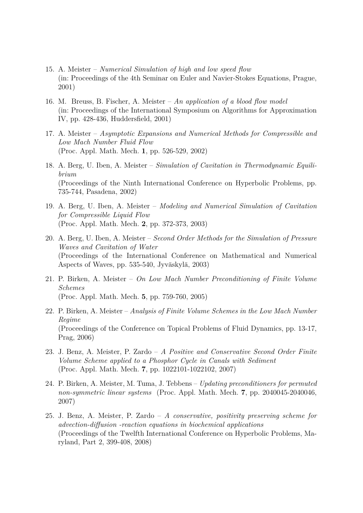- 15. A. Meister *Numerical Simulation of high and low speed flow* (in: Proceedings of the 4th Seminar on Euler and Navier-Stokes Equations, Prague, 2001)
- 16. M. Breuss, B. Fischer, A. Meister *An application of a blood flow model* (in: Proceedings of the International Symposium on Algorithms for Approximation IV, pp. 428-436, Huddersfield, 2001)
- 17. A. Meister *Asymptotic Expansions and Numerical Methods for Compressible and Low Mach Number Fluid Flow* (Proc. Appl. Math. Mech. **1**, pp. 526-529, 2002)
- 18. A. Berg, U. Iben, A. Meister *Simulation of Cavitation in Thermodynamic Equilibrium* (Proceedings of the Ninth International Conference on Hyperbolic Problems, pp. 735-744, Pasadena, 2002)
- 19. A. Berg, U. Iben, A. Meister *Modeling and Numerical Simulation of Cavitation for Compressible Liquid Flow* (Proc. Appl. Math. Mech. **2**, pp. 372-373, 2003)
- 20. A. Berg, U. Iben, A. Meister *Second Order Methods for the Simulation of Pressure Waves and Cavitation of Water* (Proceedings of the International Conference on Mathematical and Numerical Aspects of Waves, pp.  $535-540$ , Jyväskylä,  $2003$ )
- 21. P. Birken, A. Meister *On Low Mach Number Preconditioning of Finite Volume Schemes* (Proc. Appl. Math. Mech. **5**, pp. 759-760, 2005)
- 22. P. Birken, A. Meister *Analysis of Finite Volume Schemes in the Low Mach Number Regime* (Proceedings of the Conference on Topical Problems of Fluid Dynamics, pp. 13-17, Prag, 2006)
- 23. J. Benz, A. Meister, P. Zardo *A Positive and Conservative Second Order Finite Volume Scheme applied to a Phosphor Cycle in Canals with Sediment* (Proc. Appl. Math. Mech. **7**, pp. 1022101-1022102, 2007)
- 24. P. Birken, A. Meister, M. Tuma, J. Tebbens *Updating preconditioners for permuted non-symmetric linear systems* (Proc. Appl. Math. Mech. **7**, pp. 2040045-2040046, 2007)
- 25. J. Benz, A. Meister, P. Zardo *A conservative, positivity preserving scheme for advection-diffusion -reaction equations in biochemical applications* (Proceedings of the Twelfth International Conference on Hyperbolic Problems, Maryland, Part 2, 399-408, 2008)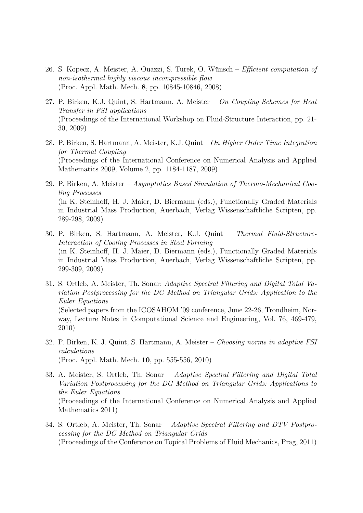- 26. S. Kopecz, A. Meister, A. Ouazzi, S. Turek, O. Wünsch *Efficient computation of non-isothermal highly viscous incompressible flow* (Proc. Appl. Math. Mech. **8**, pp. 10845-10846, 2008)
- 27. P. Birken, K.J. Quint, S. Hartmann, A. Meister *On Coupling Schemes for Heat Transfer in FSI applications* (Proceedings of the International Workshop on Fluid-Structure Interaction, pp. 21- 30, 2009)
- 28. P. Birken, S. Hartmann, A. Meister, K.J. Quint *On Higher Order Time Integration for Thermal Coupling* (Proceedings of the International Conference on Numerical Analysis and Applied Mathematics 2009, Volume 2, pp. 1184-1187, 2009)
- 29. P. Birken, A. Meister *Asymptotics Based Simulation of Thermo-Mechanical Cooling Processes* (in K. Steinhoff, H. J. Maier, D. Biermann (eds.), Functionally Graded Materials in Industrial Mass Production, Auerbach, Verlag Wissenschaftliche Scripten, pp. 289-298, 2009)
- 30. P. Birken, S. Hartmann, A. Meister, K.J. Quint *Thermal Fluid-Structure-Interaction of Cooling Processes in Steel Forming* (in K. Steinhoff, H. J. Maier, D. Biermann (eds.), Functionally Graded Materials in Industrial Mass Production, Auerbach, Verlag Wissenschaftliche Scripten, pp. 299-309, 2009)
- 31. S. Ortleb, A. Meister, Th. Sonar: *Adaptive Spectral Filtering and Digital Total Variation Postprocessing for the DG Method on Triangular Grids: Application to the Euler Equations* (Selected papers from the ICOSAHOM '09 conference, June 22-26, Trondheim, Norway, Lecture Notes in Computational Science and Engineering, Vol. 76, 469-479, 2010)
- 32. P. Birken, K. J. Quint, S. Hartmann, A. Meister *Choosing norms in adaptive FSI calculations* (Proc. Appl. Math. Mech. **10**, pp. 555-556, 2010)
- 33. A. Meister, S. Ortleb, Th. Sonar *Adaptive Spectral Filtering and Digital Total Variation Postprocessing for the DG Method on Triangular Grids: Applications to the Euler Equations* (Proceedings of the International Conference on Numerical Analysis and Applied Mathematics 2011)
- 34. S. Ortleb, A. Meister, Th. Sonar *Adaptive Spectral Filtering and DTV Postprocessing for the DG Method on Triangular Grids* (Proceedings of the Conference on Topical Problems of Fluid Mechanics, Prag, 2011)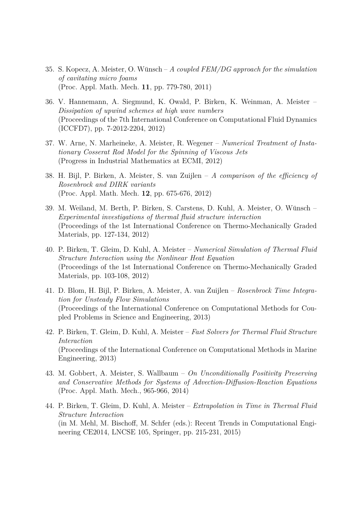- 35. S. Kopecz, A. Meister, O. Wünsch A coupled FEM/DG approach for the simulation *of cavitating micro foams* (Proc. Appl. Math. Mech. **11**, pp. 779-780, 2011)
- 36. V. Hannemann, A. Siegmund, K. Owald, P. Birken, K. Weinman, A. Meister *Dissipation of upwind schemes at high wave numbers* (Proceedings of the 7th International Conference on Computational Fluid Dynamics (ICCFD7), pp. 7-2012-2204, 2012)
- 37. W. Arne, N. Marheineke, A. Meister, R. Wegener *Numerical Treatment of Instationary Cosserat Rod Model for the Spinning of Viscous Jets* (Progress in Industrial Mathematics at ECMI, 2012)
- 38. H. Bijl, P. Birken, A. Meister, S. van Zuijlen *A comparison of the efficiency of Rosenbrock and DIRK variants* (Proc. Appl. Math. Mech. **12**, pp. 675-676, 2012)
- 39. M. Weiland, M. Berth, P. Birken, S. Carstens, D. Kuhl, A. Meister, O. Wunsch ¨ *Experimental investigations of thermal fluid structure interaction* (Proceedings of the 1st International Conference on Thermo-Mechanically Graded Materials, pp. 127-134, 2012)
- 40. P. Birken, T. Gleim, D. Kuhl, A. Meister *Numerical Simulation of Thermal Fluid Structure Interaction using the Nonlinear Heat Equation* (Proceedings of the 1st International Conference on Thermo-Mechanically Graded Materials, pp. 103-108, 2012)
- 41. D. Blom, H. Bijl, P. Birken, A. Meister, A. van Zuijlen *Rosenbrock Time Integration for Unsteady Flow Simulations* (Proceedings of the International Conference on Computational Methods for Coupled Problems in Science and Engineering, 2013)
- 42. P. Birken, T. Gleim, D. Kuhl, A. Meister *Fast Solvers for Thermal Fluid Structure Interaction* (Proceedings of the International Conference on Computational Methods in Marine Engineering, 2013)
- 43. M. Gobbert, A. Meister, S. Wallbaum *On Unconditionally Positivity Preserving and Conservative Methods for Systems of Advection-Diffusion-Reaction Equations* (Proc. Appl. Math. Mech., 965-966, 2014)
- 44. P. Birken, T. Gleim, D. Kuhl, A. Meister *Extrapolation in Time in Thermal Fluid Structure Interaction* (in M. Mehl, M. Bischoff, M. Schfer (eds.): Recent Trends in Computational Engineering CE2014, LNCSE 105, Springer, pp. 215-231, 2015)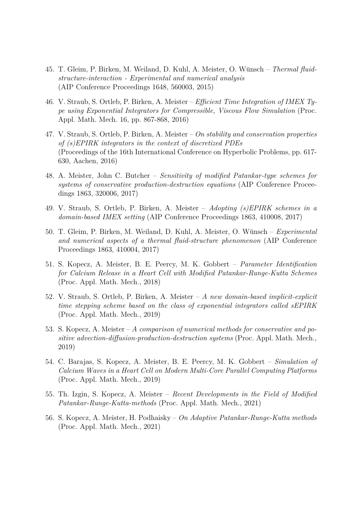- 45. T. Gleim, P. Birken, M. Weiland, D. Kuhl, A. Meister, O. Wünsch Thermal fluid*structure-interaction - Experimental and numerical analysis* (AIP Conference Proceedings 1648, 560003, 2015)
- 46. V. Straub, S. Ortleb, P. Birken, A. Meister *Efficient Time Integration of IMEX Type using Exponential Integrators for Compressible, Viscous Flow Simulation* (Proc. Appl. Math. Mech. 16, pp. 867-868, 2016)
- 47. V. Straub, S. Ortleb, P. Birken, A. Meister *On stability and conservation properties of (s)EPIRK integrators in the context of discretized PDEs* (Proceedings of the 16th International Conference on Hyperbolic Problems, pp. 617- 630, Aachen, 2016)
- 48. A. Meister, John C. Butcher *Sensitivity of modified Patankar-type schemes for systems of conservative production-destruction equations* (AIP Conference Proceedings 1863, 320006, 2017)
- 49. V. Straub, S. Ortleb, P. Birken, A. Meister *Adopting (s)EPIRK schemes in a domain-based IMEX setting* (AIP Conference Proceedings 1863, 410008, 2017)
- 50. T. Gleim, P. Birken, M. Weiland, D. Kuhl, A. Meister, O. Wünsch *Experimental and numerical aspects of a thermal fluid-structure phenomenon* (AIP Conference Proceedings 1863, 410004, 2017)
- 51. S. Kopecz, A. Meister, B. E. Peercy, M. K. Gobbert *Parameter Identification for Calcium Release in a Heart Cell with Modified Patankar-Runge-Kutta Schemes* (Proc. Appl. Math. Mech., 2018)
- 52. V. Straub, S. Ortleb, P. Birken, A. Meister *A new domain-based implicit-explicit time stepping scheme based on the class of exponential integrators called sEPIRK* (Proc. Appl. Math. Mech., 2019)
- 53. S. Kopecz, A. Meister *A comparison of numerical methods for conservative and positive advection-diffusion-production-destruction systems* (Proc. Appl. Math. Mech., 2019)
- 54. C. Barajas, S. Kopecz, A. Meister, B. E. Peercy, M. K. Gobbert *Simulation of Calcium Waves in a Heart Cell on Modern Multi-Core Parallel Computing Platforms* (Proc. Appl. Math. Mech., 2019)
- 55. Th. Izgin, S. Kopecz, A. Meister *Recent Developments in the Field of Modified Patankar-Runge-Kutta-methods* (Proc. Appl. Math. Mech., 2021)
- 56. S. Kopecz, A. Meister, H. Podhaisky *On Adaptive Patankar-Runge-Kutta methods* (Proc. Appl. Math. Mech., 2021)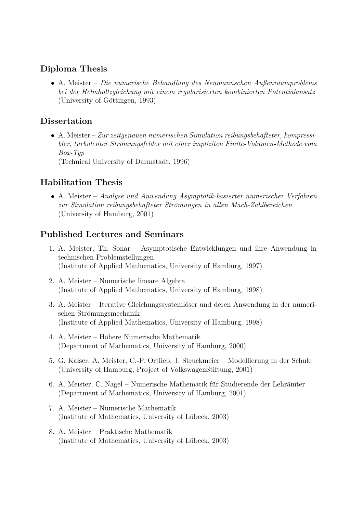### **Diploma Thesis**

• A. Meister – *Die numerische Behandlung des Neumannschen Außenraumproblems bei der Helmholtzgleichung mit einem regularisierten kombinierten Potentialansatz* (University of Göttingen, 1993)

## **Dissertation**

• A. Meister – *Zur zeitgenauen numerischen Simulation reibungsbehafteter, kompressibler, turbulenter Str¨omungsfelder mit einer impliziten Finite-Volumen-Methode vom Box-Typ* (Technical University of Darmstadt, 1996)

# **Habilitation Thesis**

• A. Meister – *Analyse und Anwendung Asymptotik-basierter numerischer Verfahren zur Simulation reibungsbehafteter Str¨omungen in allen Mach-Zahlbereichen* (University of Hamburg, 2001)

# **Published Lectures and Seminars**

- 1. A. Meister, Th. Sonar Asymptotische Entwicklungen und ihre Anwendung in technischen Problemstellungen (Institute of Applied Mathematics, University of Hamburg, 1997)
- 2. A. Meister Numerische lineare Algebra (Institute of Applied Mathematics, University of Hamburg, 1998)
- 3. A. Meister Iterative Gleichungssystemlöser und deren Anwendung in der numerischen Strömungsmechanik (Institute of Applied Mathematics, University of Hamburg, 1998)
- 4. A. Meister Höhere Numerische Mathematik (Department of Mathematics, University of Hamburg, 2000)
- 5. G. Kaiser, A. Meister, C.-P. Ortlieb, J. Struckmeier Modellierung in der Schule (University of Hamburg, Project of VolkswagenStiftung, 2001)
- 6. A. Meister, C. Nagel Numerische Mathematik für Studierende der Lehrämter (Department of Mathematics, University of Hamburg, 2001)
- 7. A. Meister Numerische Mathematik  $(Institute of Mathematics, University of Lübeck, 2003)$
- 8. A. Meister Praktische Mathematik (Institute of Mathematics, University of Lübeck, 2003)